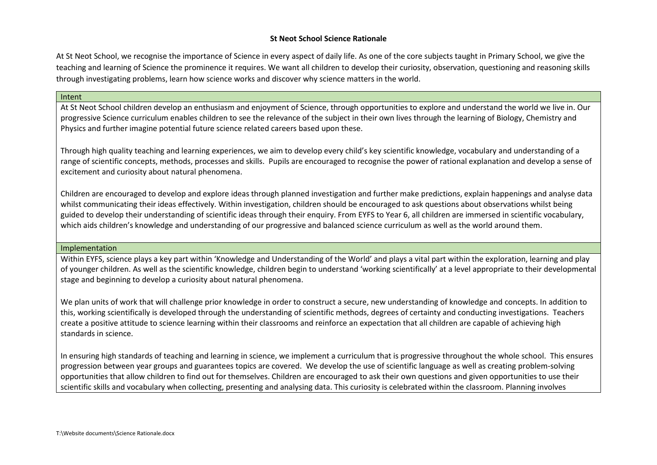# **St Neot School Science Rationale**

At St Neot School, we recognise the importance of Science in every aspect of daily life. As one of the core subjects taught in Primary School, we give the teaching and learning of Science the prominence it requires. We want all children to develop their curiosity, observation, questioning and reasoning skills through investigating problems, learn how science works and discover why science matters in the world.

## Intent

At St Neot School children develop an enthusiasm and enjoyment of Science, through opportunities to explore and understand the world we live in. Our progressive Science curriculum enables children to see the relevance of the subject in their own lives through the learning of Biology, Chemistry and Physics and further imagine potential future science related careers based upon these.

Through high quality teaching and learning experiences, we aim to develop every child's key scientific knowledge, vocabulary and understanding of a range of scientific concepts, methods, processes and skills. Pupils are encouraged to recognise the power of rational explanation and develop a sense of excitement and curiosity about natural phenomena.

Children are encouraged to develop and explore ideas through planned investigation and further make predictions, explain happenings and analyse data whilst communicating their ideas effectively. Within investigation, children should be encouraged to ask questions about observations whilst being guided to develop their understanding of scientific ideas through their enquiry. From EYFS to Year 6, all children are immersed in scientific vocabulary, which aids children's knowledge and understanding of our progressive and balanced science curriculum as well as the world around them.

## Implementation

Within EYFS, science plays a key part within 'Knowledge and Understanding of the World' and plays a vital part within the exploration, learning and play of younger children. As well as the scientific knowledge, children begin to understand 'working scientifically' at a level appropriate to their developmental stage and beginning to develop a curiosity about natural phenomena.

We plan units of work that will challenge prior knowledge in order to construct a secure, new understanding of knowledge and concepts. In addition to this, working scientifically is developed through the understanding of scientific methods, degrees of certainty and conducting investigations. Teachers create a positive attitude to science learning within their classrooms and reinforce an expectation that all children are capable of achieving high standards in science.

In ensuring high standards of teaching and learning in science, we implement a curriculum that is progressive throughout the whole school. This ensures progression between year groups and guarantees topics are covered. We develop the use of scientific language as well as creating problem-solving opportunities that allow children to find out for themselves. Children are encouraged to ask their own questions and given opportunities to use their scientific skills and vocabulary when collecting, presenting and analysing data. This curiosity is celebrated within the classroom. Planning involves